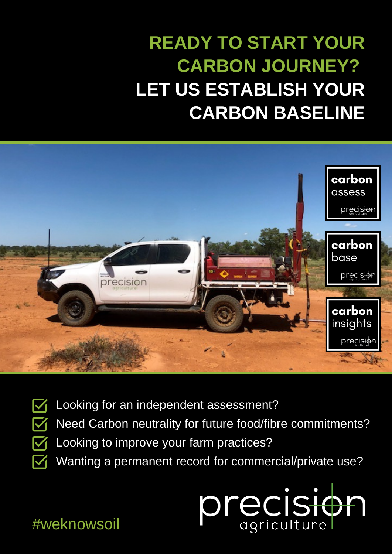## **READY TO START YOUR CARBON JOURNEY? LET US ESTABLISH YOUR CARBON BASELINE**



- M  $\boldsymbol{\nabla}$ M
	- Looking for an independent assessment?
	- Need Carbon neutrality for future food/fibre commitments?
	- Looking to improve your farm practices?
	- Wanting a permanent record for commercial/private use?



## #weknowsoil